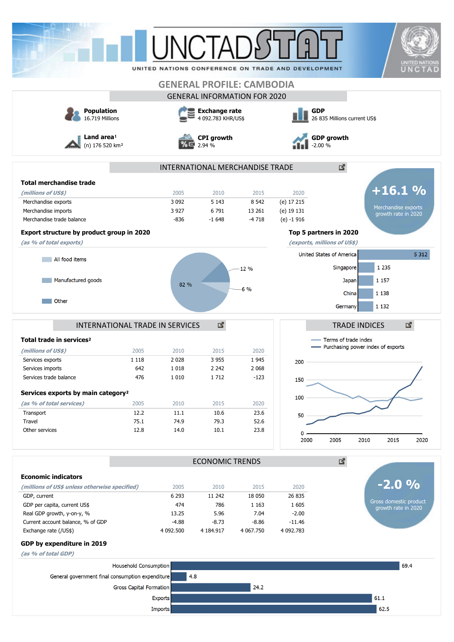|                                                                                                                                                                                                                                                     |                                                                                                  |                                                                      | UNCTAI                                                                  |                                                                   | UNITED NATIONS CONFERENCE ON TRADE AND DEVELOPMENT |                                                                                                     | <b>UNITED NATIONS</b><br>UNCTAD               |  |  |
|-----------------------------------------------------------------------------------------------------------------------------------------------------------------------------------------------------------------------------------------------------|--------------------------------------------------------------------------------------------------|----------------------------------------------------------------------|-------------------------------------------------------------------------|-------------------------------------------------------------------|----------------------------------------------------|-----------------------------------------------------------------------------------------------------|-----------------------------------------------|--|--|
|                                                                                                                                                                                                                                                     |                                                                                                  |                                                                      |                                                                         |                                                                   |                                                    |                                                                                                     |                                               |  |  |
|                                                                                                                                                                                                                                                     |                                                                                                  |                                                                      |                                                                         | <b>GENERAL PROFILE: CAMBODIA</b>                                  |                                                    |                                                                                                     |                                               |  |  |
|                                                                                                                                                                                                                                                     |                                                                                                  |                                                                      |                                                                         | <b>GENERAL INFORMATION FOR 2020</b>                               |                                                    |                                                                                                     |                                               |  |  |
| <b>Population</b><br>16.719 Millions                                                                                                                                                                                                                |                                                                                                  |                                                                      | <b>Exchange rate</b><br>4 092.783 KHR/US\$                              |                                                                   |                                                    | <b>GDP</b><br>26 835 Millions current US\$                                                          |                                               |  |  |
| Land area <sup>1</sup><br>(n) 176 520 km <sup>2</sup>                                                                                                                                                                                               |                                                                                                  |                                                                      | <b>CPI</b> growth<br>2.94 %                                             |                                                                   |                                                    | <b>GDP growth</b><br>$-2.00%$                                                                       |                                               |  |  |
|                                                                                                                                                                                                                                                     |                                                                                                  |                                                                      |                                                                         | INTERNATIONAL MERCHANDISE TRADE                                   |                                                    | 國                                                                                                   |                                               |  |  |
| <b>Total merchandise trade</b>                                                                                                                                                                                                                      |                                                                                                  |                                                                      |                                                                         |                                                                   |                                                    |                                                                                                     |                                               |  |  |
| (millions of US\$)                                                                                                                                                                                                                                  |                                                                                                  | 2005                                                                 | 2010                                                                    | 2015                                                              | 2020                                               |                                                                                                     | $+16.1%$                                      |  |  |
| Merchandise exports                                                                                                                                                                                                                                 |                                                                                                  | 3 0 9 2                                                              | 5 1 4 3                                                                 | 8 5 4 2                                                           | (e) 17 215                                         |                                                                                                     |                                               |  |  |
| Merchandise imports                                                                                                                                                                                                                                 |                                                                                                  | 3 9 2 7                                                              | 6791                                                                    | 13 261                                                            | (e) 19 131                                         |                                                                                                     | Merchandise exports<br>growth rate in 2020    |  |  |
| Merchandise trade balance                                                                                                                                                                                                                           |                                                                                                  | $-836$                                                               | $-1648$                                                                 | $-4718$                                                           | $(e) - 1916$                                       |                                                                                                     |                                               |  |  |
| Export structure by product group in 2020                                                                                                                                                                                                           |                                                                                                  |                                                                      |                                                                         |                                                                   |                                                    | Top 5 partners in 2020                                                                              |                                               |  |  |
| (as % of total exports)                                                                                                                                                                                                                             |                                                                                                  |                                                                      |                                                                         |                                                                   | (exports, millions of US\$)                        |                                                                                                     |                                               |  |  |
| All food items                                                                                                                                                                                                                                      |                                                                                                  |                                                                      |                                                                         |                                                                   |                                                    | United States of America                                                                            | 5 3 1 2                                       |  |  |
|                                                                                                                                                                                                                                                     |                                                                                                  |                                                                      |                                                                         | 12 %                                                              |                                                    | Singapore                                                                                           | 1 2 3 5                                       |  |  |
| Manufactured goods                                                                                                                                                                                                                                  |                                                                                                  |                                                                      |                                                                         |                                                                   |                                                    | Japan                                                                                               | 1 1 5 7                                       |  |  |
|                                                                                                                                                                                                                                                     |                                                                                                  | 82 %                                                                 |                                                                         | $-6\%$                                                            |                                                    |                                                                                                     |                                               |  |  |
| Other                                                                                                                                                                                                                                               |                                                                                                  |                                                                      |                                                                         |                                                                   |                                                    | China                                                                                               | 1 1 3 8                                       |  |  |
|                                                                                                                                                                                                                                                     |                                                                                                  |                                                                      |                                                                         |                                                                   |                                                    | Germany                                                                                             | 1 1 3 2                                       |  |  |
| Total trade in services <sup>2</sup><br>(millions of US\$)<br>Services exports<br>Services imports<br>Services trade balance<br>Services exports by main category <sup>2</sup><br>(as % of total services)<br>Transport<br>Travel<br>Other services | INTERNATIONAL TRADE IN SERVICES<br>2005<br>1 1 1 8<br>642<br>476<br>2005<br>12.2<br>75.1<br>12.8 | 2010<br>2 0 2 8<br>1 0 18<br>1 0 1 0<br>2010<br>11.1<br>74.9<br>14.0 | 図<br>2015<br>3 9 5 5<br>2 2 4 2<br>1712<br>2015<br>10.6<br>79.3<br>10.1 | 2020<br>1945<br>2 0 6 8<br>$-123$<br>2020<br>23.6<br>52.6<br>23.8 | 200<br>150<br>100<br>50<br>2000                    | <b>TRADE INDICES</b><br>Terms of trade index<br>- Purchasing power index of exports<br>2005<br>2010 | 國<br>2015<br>2020                             |  |  |
|                                                                                                                                                                                                                                                     |                                                                                                  |                                                                      | <b>ECONOMIC TRENDS</b>                                                  |                                                                   |                                                    | 國                                                                                                   |                                               |  |  |
| <b>Economic indicators</b>                                                                                                                                                                                                                          |                                                                                                  |                                                                      |                                                                         |                                                                   |                                                    |                                                                                                     |                                               |  |  |
| (millions of US\$ unless otherwise specified)                                                                                                                                                                                                       |                                                                                                  | 2005                                                                 | 2010                                                                    | 2015                                                              | 2020                                               |                                                                                                     | $\frac{O}{O}$<br>-2.0                         |  |  |
| GDP, current                                                                                                                                                                                                                                        |                                                                                                  | 6 2 9 3                                                              | 11 242                                                                  | 18 050                                                            | 26 835                                             |                                                                                                     |                                               |  |  |
| GDP per capita, current US\$                                                                                                                                                                                                                        |                                                                                                  | 474                                                                  | 786                                                                     | 1 1 6 3                                                           | 1 6 0 5                                            |                                                                                                     | Gross domestic product<br>growth rate in 2020 |  |  |
| Real GDP growth, y-on-y, %                                                                                                                                                                                                                          |                                                                                                  | 13.25                                                                | 5.96                                                                    | 7.04                                                              | $-2.00$                                            |                                                                                                     |                                               |  |  |
| Current account balance, % of GDP<br>Exchange rate (/US\$)                                                                                                                                                                                          |                                                                                                  | $-4.88$<br>4 092.500                                                 | $-8.73$<br>4 184.917                                                    | $-8.86$<br>4 067.750                                              | $-11.46$<br>4 092.783                              |                                                                                                     |                                               |  |  |
| GDP by expenditure in 2019                                                                                                                                                                                                                          |                                                                                                  |                                                                      |                                                                         |                                                                   |                                                    |                                                                                                     |                                               |  |  |
| (as % of total GDP)                                                                                                                                                                                                                                 |                                                                                                  |                                                                      |                                                                         |                                                                   |                                                    |                                                                                                     |                                               |  |  |
|                                                                                                                                                                                                                                                     |                                                                                                  |                                                                      |                                                                         |                                                                   |                                                    |                                                                                                     |                                               |  |  |
|                                                                                                                                                                                                                                                     | Household Consumption                                                                            |                                                                      |                                                                         |                                                                   |                                                    |                                                                                                     | 69.4                                          |  |  |
| General government final consumption expenditure                                                                                                                                                                                                    |                                                                                                  | 4.8                                                                  |                                                                         |                                                                   |                                                    |                                                                                                     |                                               |  |  |
|                                                                                                                                                                                                                                                     | <b>Gross Capital Formation</b>                                                                   |                                                                      |                                                                         | 24.2                                                              |                                                    |                                                                                                     |                                               |  |  |
|                                                                                                                                                                                                                                                     |                                                                                                  | <b>Exports</b>                                                       |                                                                         |                                                                   |                                                    |                                                                                                     | 61.1                                          |  |  |
|                                                                                                                                                                                                                                                     |                                                                                                  | Imports                                                              |                                                                         |                                                                   |                                                    |                                                                                                     | 62.5                                          |  |  |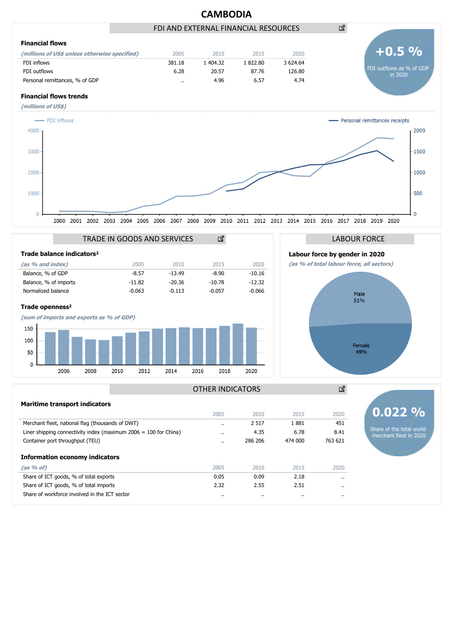

|                                                                    | 2005                 | 2010     | 2015     | 2020     | $0.022\%$                |
|--------------------------------------------------------------------|----------------------|----------|----------|----------|--------------------------|
| Merchant fleet, national flag (thousands of DWT)                   | $\ddot{\phantom{0}}$ | 2 5 1 7  | 1881     | 451      |                          |
| Liner shipping connectivity index (maximum $2006 = 100$ for China) | $\cdot$ .            | 4.35     | 6.78     | 8.41     | Share of the total world |
| Container port throughput (TEU)                                    | $\cdot$ .            | 286 206  | 474 000  | 763 621  | merchant fleet in 2020   |
| <b>Information economy indicators</b>                              |                      |          |          |          |                          |
| (as % of)                                                          | 2005                 | 2010     | 2015     | 2020     |                          |
| Share of ICT goods, % of total exports                             | 0.05                 | 0.09     | 2.18     | $\cdots$ |                          |
| Share of ICT goods, % of total imports                             | 2.32                 | 2.55     | 2.51     | $\cdots$ |                          |
| Share of workforce involved in the ICT sector                      | $\cdot$ .            | $\cdots$ | $\cdots$ | $\cdots$ |                          |
|                                                                    |                      |          |          |          |                          |